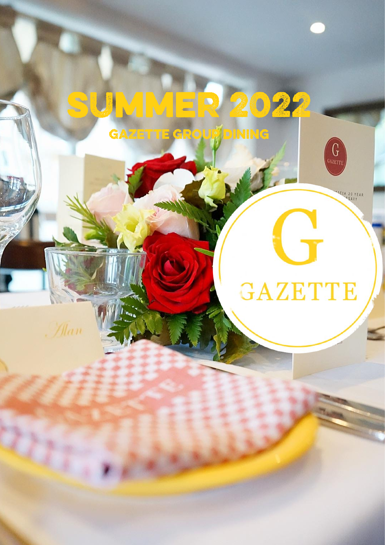# **SUMMER 2022**

GAZETTE GROUP DINING



 $G$ 

CIA 20 YEAR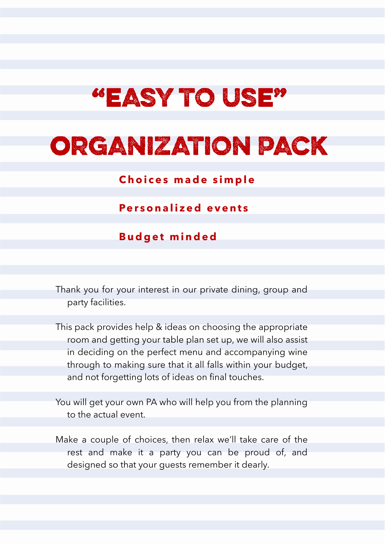# "EASY TO USE"

# ORGANIZATION PACK

**Choices made simple** 

**Pe r s o n a l i z e d e v e n t s**

**B u d g e t m i n d e d**

Thank you for your interest in our private dining, group and party facilities.

This pack provides help & ideas on choosing the appropriate room and getting your table plan set up, we will also assist in deciding on the perfect menu and accompanying wine through to making sure that it all falls within your budget, and not forgetting lots of ideas on final touches.

You will get your own PA who will help you from the planning to the actual event.

Make a couple of choices, then relax we'll take care of the rest and make it a party you can be proud of, and designed so that your guests remember it dearly.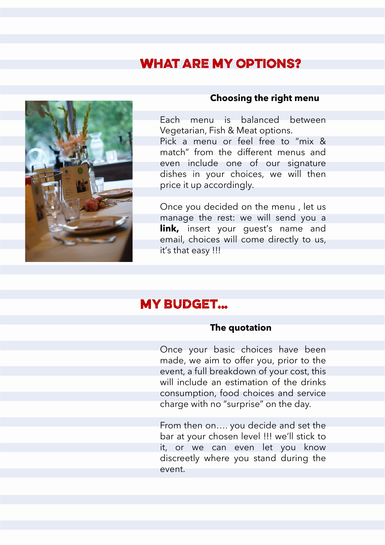### **WHAT ARE MY OPTIONS?**



### **Choosing the right menu**

Each menu is balanced between Vegetarian, Fish & Meat options. Pick a menu or feel free to "mix & match" from the different menus and even include one of our signature dishes in your choices, we will then price it up accordingly.

Once you decided on the menu , let us manage the rest: we will send you a **link,** insert your quest's name and email, choices will come directly to us, it's that easy !!!

### **MY BUDGET...**

### **The quotation**

Once your basic choices have been made, we aim to offer you, prior to the event, a full breakdown of your cost, this will include an estimation of the drinks consumption, food choices and service charge with no "surprise" on the day.

From then on…. you decide and set the bar at your chosen level !!! we'll stick to it, or we can even let you know discreetly where you stand during the event.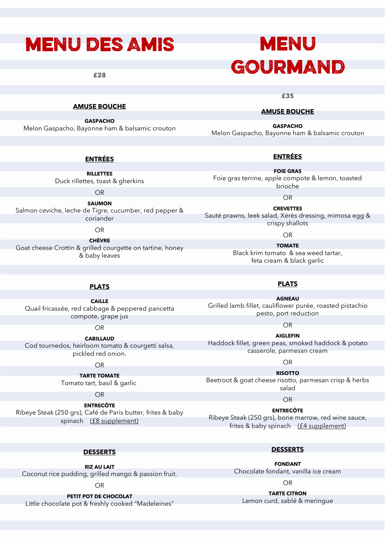### **MENU DES AMIS**

**£28**

### **MENU GOURMAND**

**£35**

#### **AMUSE BOUCHE**

**GASPACHO**

Melon Gaspacho, Bayonne ham & balsamic crouton

#### **ENTRÉES**

**RILLETTES** Duck rillettes, toast & gherkins

OR

**SAUMON** Salmon ceviche, leche de Tigre, cucumber, red pepper & coriander

OR

**CHÈVRE** Goat cheese Crottin & grilled courgette on tartine, honey & baby leaves

#### **AMUSE BOUCHE**

**GASPACHO** Melon Gaspacho, Bayonne ham & balsamic crouton

#### **ENTRÉES**

**FOIE GRAS** Foie gras terrine, apple compote & lemon, toasted brioche

OR

**CREVETTES** Sauté prawns, leek salad, Xérès dressing, mimosa egg & crispy shallots

OR

**TOMATE** Black krim tomato & sea weed tartar, feta cream & black garlic

#### **PLATS**

**CAILLE** Quail fricassée, red cabbage & peppered pancetta compote, grape jus

OR

**CABILLAUD** Cod tournedos, heirloom tomato & courgetti salsa, pickled red onion.

OR

**TARTE TOMATE** Tomato tart, basil & garlic

OR

**ENTRECÔTE** Ribeye Steak (250 grs), Café de Paris butter, frites & baby spinach (£8 supplement)

**PLATS**

Grilled lamb fillet, cauliflower purée, roasted pistachio pesto, port reduction

OR

**AIGLEFIN**  Haddock fillet, green peas, smoked haddock & potato casserole, parmesan cream

OR

**RISOTTO** Beetroot & goat cheese risotto, parmesan crisp & herbs salad

OR

**ENTRECÔTE** Ribeye Steak (250 grs), bone marrow, red wine sauce, frites & baby spinach (£4 supplement)

#### **DESSERTS**

**RIZ AU LAIT**  Coconut rice pudding, grilled mango & passion fruit.

OR

**PETIT POT DE CHOCOLAT**

Little chocolate pot & freshly cooked "Madeleines"

**DESSERTS**

**FONDANT** Chocolate fondant, vanilla ice cream

OR

**TARTE CITRON** Lemon curd, sablé & meringue

### **AGNEAU**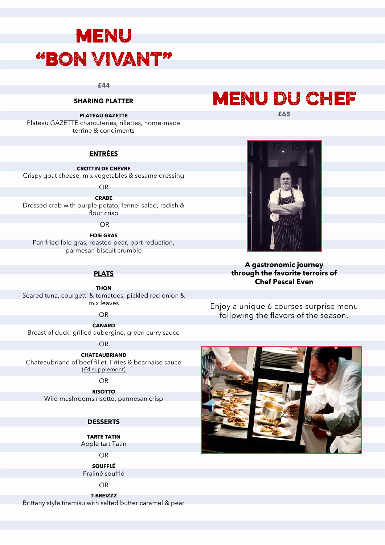## **MENU "BON VIVANT"**

**£44**

#### **SHARING PLATTER**

**PLATEAU GAZETTE**

Plateau GAZETTE charcuteries, rillettes, home-made terrine & condiments

#### **ENTRÉES**

**CROTTIN DE CHÈVRE** Crispy goat cheese, mix vegetables & sesame dressing

OR

**CRABE** Dressed crab with purple potato, fennel salad, radish & flour crisp

OR

**FOIE GRAS** Pan fried foie gras, roasted pear, port reduction, parmesan biscuit crumble

#### **PLATS**

**THON**  Seared tuna, courgetti & tomatoes, pickled red onion & mix leaves

OR

**CANARD** Breast of duck, grilled aubergine, green curry sauce

OR

**CHATEAUBRIAND** Chateaubriand of beef fillet, Frites & béarnaise sauce (£4 supplement)

OR

**RISOTTO** Wild mushrooms risotto, parmesan crisp

#### **DESSERTS**

**TARTE TATIN**  Apple tart Tatin

OR

**SOUFFLÉ** Praliné soufflé

OR

**T-BREIZZZ** Brittany style tiramisu with salted butter caramel & pear



**A gastronomic journey through the favorite terroirs of Chef Pascal Even**

Enjoy a unique 6 courses surprise menu following the flavors of the season.



**£65**

**MENU DU CHEF**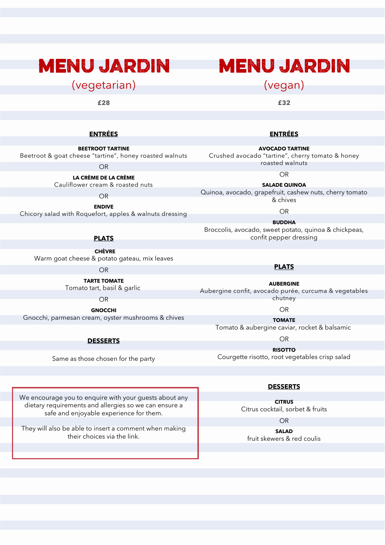### **MENU JARDIN**

(vegetarian)

**£28**

### **MENU JARDIN**

(vegan)

**£32**

**ENTRÉES**

**AVOCADO TARTINE** 

#### **ENTRÉES**

**BEETROOT TARTINE** 

Beetroot & goat cheese "tartine", honey roasted walnuts

OR

**LA CRÈME DE LA CRÈME** Cauliflower cream & roasted nuts

OR

**ENDIVE**

Chicory salad with Roquefort, apples & walnuts dressing

#### **PLATS**

 **CHÈVRE** Warm goat cheese & potato gateau, mix leaves

OR

**TARTE TOMATE** Tomato tart, basil & garlic

OR

**GNOCCHI** Gnocchi, parmesan cream, oyster mushrooms & chives

**DESSERTS**

Same as those chosen for the party

We encourage you to enquire with your guests about any dietary requirements and allergies so we can ensure a safe and enjoyable experience for them.

They will also be able to insert a comment when making their choices via the link.

Crushed avocado "tartine", cherry tomato & honey roasted walnuts OR

**SALADE QUINOA** Quinoa, avocado, grapefruit, cashew nuts, cherry tomato & chives

OR

**BUDDHA** Broccolis, avocado, sweet potato, quinoa & chickpeas, confit pepper dressing

**PLATS**

**AUBERGINE** Aubergine confit, avocado purée, curcuma & vegetables chutney

OR

**TOMATE** Tomato & aubergine caviar, rocket & balsamic

OR

**RISOTTO** Courgette risotto, root vegetables crisp salad

#### **DESSERTS**

**CITRUS** Citrus cocktail, sorbet & fruits

OR

**SALAD** fruit skewers & red coulis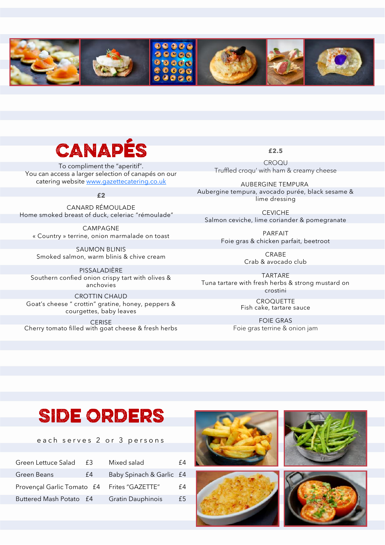

# CANAPÉS

To compliment the "aperitif". You can access a larger selection of canapés on our catering website [www.gazettecatering.co.uk](http://www.gazettecatering.co.uk)

**£2**

CANARD RÉMOULADE Home smoked breast of duck, celeriac "rémoulade"

CAMPAGNE « Country » terrine, onion marmalade on toast

SAUMON BLINIS Smoked salmon, warm blinis & chive cream

PISSALADIÈRE Southern confied onion crispy tart with olives & anchovies

CROTTIN CHAUD Goat's cheese " crottin" gratine, honey, peppers & courgettes, baby leaves

**CERISE** Cherry tomato filled with goat cheese & fresh herbs **£2.5**

CROQU Truffled croqu' with ham & creamy cheese

AUBERGINE TEMPURA Aubergine tempura, avocado purée, black sesame & lime dressing

CEVICHE Salmon ceviche, lime coriander & pomegranate

> PARFAIT Foie gras & chicken parfait, beetroot

> > CRABE Crab & avocado club

TARTARE Tuna tartare with fresh herbs & strong mustard on crostini

> **CROQUETTE** Fish cake, tartare sauce

FOIE GRAS Foie gras terrine & onion jam

### **SIDE ORDERS**

each serves 2 or 3 persons

| Green Lettuce Salad                         | £3 | Mixed salad              | f4 |
|---------------------------------------------|----|--------------------------|----|
| Green Beans                                 | f4 | Baby Spinach & Garlic £4 |    |
| Provençal Garlic Tomato £4 Frites "GAZETTE" |    |                          | f4 |
| Buttered Mash Potato £4                     |    | <b>Gratin Dauphinois</b> | £5 |

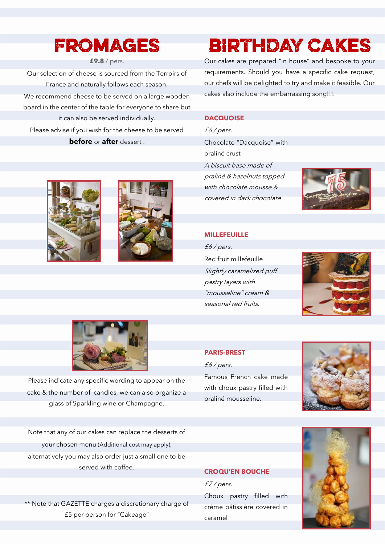### FROMAGES

#### **£9.8** / pers.

Our selection of cheese is sourced from the Terroirs of France and naturally follows each season. We recommend cheese to be served on a large wooden board in the center of the table for everyone to share but it can also be served individually. Please advise if you wish for the cheese to be served

#### **before** or **after** dessert .

### **BIRTHDAY CAKES**

Our cakes are prepared "in house" and bespoke to your requirements. Should you have a specific cake request, our chefs will be delighted to try and make it feasible. Our cakes also include the embarrassing song!!!.

#### **DACQUOISE**

£6 / pers. Chocolate "Dacquoise" with praliné crust A biscuit base made of praliné & hazelnuts topped with chocolate mousse &

covered in dark chocolate



#### **MILLEFEUILLE**

£6 / pers. Red fruit millefeuille Slightly caramelized puff pastry layers with "mousseline" cream & seasonal red fruits.



#### **PARIS-BREST**

£6 / pers.



Famous French cake made with choux pastry filled with praliné mousseline.



#### **CROQU'EN BOUCHE**

£7 / pers.

Choux pastry filled with crème pâtissière covered in caramel









Please indicate any specific wording to appear on the cake & the number of candles, we can also organize a glass of Sparkling wine or Champagne.

Note that any of our cakes can replace the desserts of your chosen menu (Additional cost may apply), alternatively you may also order just a small one to be served with coffee.

\*\* Note that GAZETTE charges a discretionary charge of £5 per person for "Cakeage"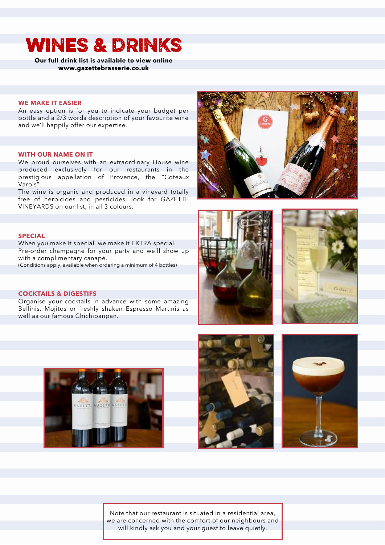### **WINES & DRINKS**

**Our full drink list is available to view online www.gazettebrasserie.co.uk**

#### **WE MAKE IT EASIER**

An easy option is for you to indicate your budget per bottle and a 2/3 words description of your favourite wine and we'll happily offer our expertise.

#### **WITH OUR NAME ON IT**

We proud ourselves with an extraordinary House wine produced exclusively for our restaurants in the prestigious appellation of Provence, the "Coteaux Varois".

The wine is organic and produced in a vineyard totally free of herbicides and pesticides, look for GAZETTE VINEYARDS on our list, in all 3 colours.





When you make it special, we make it EXTRA special. Pre-order champagne for your party and we'll show up with a complimentary canapé.

(Conditions apply, available when ordering a minimum of 4 bottles)

#### **COCKTAILS & DIGESTIFS**

Organise your cocktails in advance with some amazing Bellinis, Mojitos or freshly shaken Espresso Martinis as well as our famous Chichipanpan.











Note that our restaurant is situated in a residential area, we are concerned with the comfort of our neighbours and will kindly ask you and your quest to leave quietly.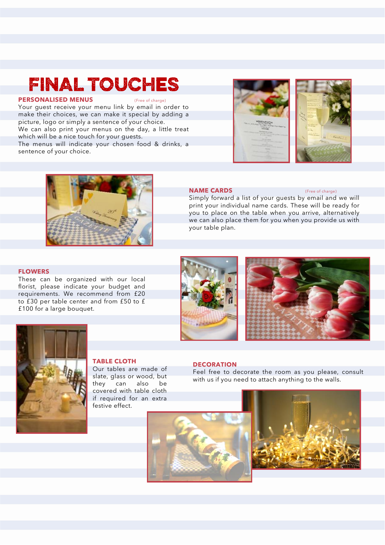### **FINAL TOUCHES**

#### **PERSONALISED MENUS**

Your guest receive your menu link by email in order to make their choices, we can make it special by adding a picture, logo or simply a sentence of your choice. We can also print your menus on the day, a little treat which will be a nice touch for your guests.

The menus will indicate your chosen food & drinks, a sentence of your choice.







#### **NAME CARDS** (Free of charge)

Simply forward a list of your guests by email and we will print your individual name cards. These will be ready for you to place on the table when you arrive, alternatively we can also place them for you when you provide us with your table plan.

#### **FLOWERS**

These can be organized with our local florist, please indicate your budget and requirements. We recommend from £20 to £30 per table center and from £50 to £ £100 for a large bouquet.







#### **TABLE CLOTH**

Our tables are made of slate, glass or wood, but they can also be covered with table cloth if required for an extra festive effect.

#### **DECORATION**

Feel free to decorate the room as you please, consult with us if you need to attach anything to the walls.